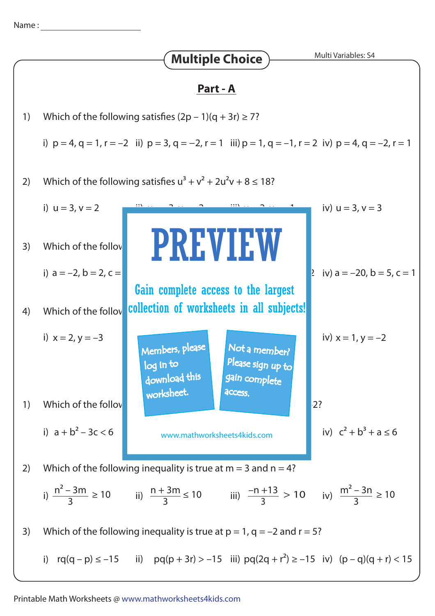